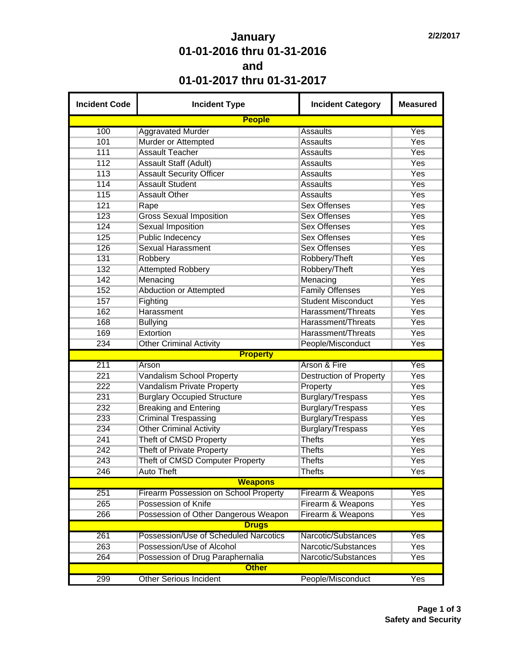## **January 01-01-2016 thru 01-31-2016 and 01-01-2017 thru 01-31-2017**

| <b>Incident Code</b> | <b>Incident Type</b>                  | <b>Incident Category</b>       | <b>Measured</b> |
|----------------------|---------------------------------------|--------------------------------|-----------------|
|                      | <b>People</b>                         |                                |                 |
| 100                  | <b>Aggravated Murder</b>              | <b>Assaults</b>                | Yes             |
| 101                  | Murder or Attempted                   | <b>Assaults</b>                | Yes             |
| 111                  | <b>Assault Teacher</b>                | <b>Assaults</b>                | Yes             |
| 112                  | <b>Assault Staff (Adult)</b>          | <b>Assaults</b>                | Yes             |
| 113                  | <b>Assault Security Officer</b>       | <b>Assaults</b>                | Yes             |
| 114                  | <b>Assault Student</b>                | <b>Assaults</b>                | Yes             |
| 115                  | <b>Assault Other</b>                  | <b>Assaults</b>                | Yes             |
| 121                  | Rape                                  | <b>Sex Offenses</b>            | Yes             |
| 123                  | <b>Gross Sexual Imposition</b>        | <b>Sex Offenses</b>            | Yes             |
| 124                  | <b>Sexual Imposition</b>              | <b>Sex Offenses</b>            | Yes             |
| 125                  | Public Indecency                      | <b>Sex Offenses</b>            | Yes             |
| 126                  | <b>Sexual Harassment</b>              | <b>Sex Offenses</b>            | Yes             |
| 131                  | Robbery                               | Robbery/Theft                  | Yes             |
| 132                  | <b>Attempted Robbery</b>              | Robbery/Theft                  | Yes             |
| 142                  | Menacing                              | Menacing                       | Yes             |
| 152                  | <b>Abduction or Attempted</b>         | <b>Family Offenses</b>         | Yes             |
| 157                  | Fighting                              | <b>Student Misconduct</b>      | Yes             |
| 162                  | Harassment                            | Harassment/Threats             | Yes             |
| 168                  | <b>Bullying</b>                       | Harassment/Threats             | Yes             |
| 169                  | Extortion                             | Harassment/Threats             | Yes             |
| 234                  | <b>Other Criminal Activity</b>        | People/Misconduct              | Yes             |
|                      | <b>Property</b>                       |                                |                 |
| 211                  | Arson                                 | <b>Arson &amp; Fire</b>        | Yes             |
| 221                  | Vandalism School Property             | <b>Destruction of Property</b> | Yes             |
| 222                  | Vandalism Private Property            | Property                       | Yes             |
| 231                  | <b>Burglary Occupied Structure</b>    | Burglary/Trespass              | Yes             |
| 232                  | <b>Breaking and Entering</b>          | Burglary/Trespass              | Yes             |
| 233                  | <b>Criminal Trespassing</b>           | Burglary/Trespass              | Yes             |
| 234                  | <b>Other Criminal Activity</b>        | <b>Burglary/Trespass</b>       | Yes             |
| 241                  |                                       | <b>Thefts</b>                  | Yes             |
|                      | Theft of CMSD Property                |                                |                 |
| 242<br>243           | <b>Theft of Private Property</b>      | <b>Thefts</b>                  | Yes             |
|                      | Theft of CMSD Computer Property       | <b>Thefts</b>                  | Yes             |
| 246                  | <b>Auto Theft</b>                     | <b>Thefts</b>                  | Yes             |
|                      | <b>Weapons</b>                        |                                |                 |
| 251                  | Firearm Possession on School Property | Firearm & Weapons              | Yes             |
| 265                  | Possession of Knife                   | Firearm & Weapons              | <b>Yes</b>      |
| 266                  | Possession of Other Dangerous Weapon  | Firearm & Weapons              | Yes             |
|                      | <b>Drugs</b>                          |                                |                 |
| 261                  | Possession/Use of Scheduled Narcotics | Narcotic/Substances            | Yes             |
| 263                  | Possession/Use of Alcohol             | Narcotic/Substances            | Yes             |
| 264                  | Possession of Drug Paraphernalia      | Narcotic/Substances            | Yes             |
|                      | <b>Other</b>                          |                                |                 |
| 299                  | <b>Other Serious Incident</b>         | People/Misconduct              | Yes             |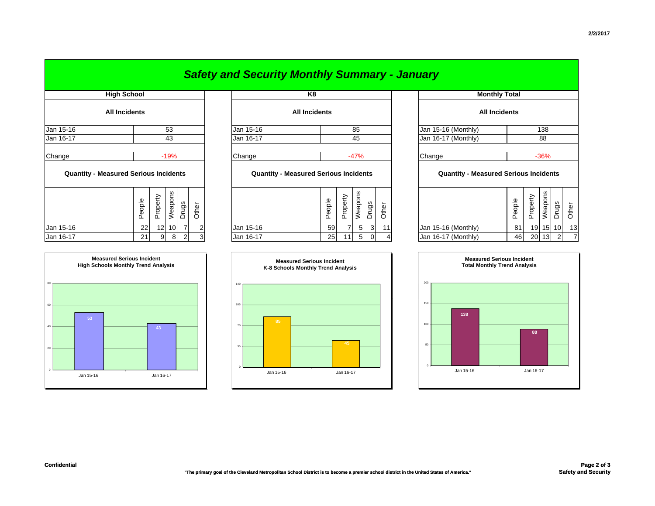|                                              |                      |                 |                 |                |                      |  | <b>Safety and Security Monthly Summary - January</b> |                                              |        |          |                      |       |       |                           |                                              |        |          |         |          |       |  |
|----------------------------------------------|----------------------|-----------------|-----------------|----------------|----------------------|--|------------------------------------------------------|----------------------------------------------|--------|----------|----------------------|-------|-------|---------------------------|----------------------------------------------|--------|----------|---------|----------|-------|--|
|                                              | <b>High School</b>   |                 | K8              |                |                      |  |                                                      |                                              |        |          | <b>Monthly Total</b> |       |       |                           |                                              |        |          |         |          |       |  |
|                                              | <b>All Incidents</b> |                 |                 |                | <b>All Incidents</b> |  |                                                      |                                              |        |          |                      |       |       | <b>All Incidents</b>      |                                              |        |          |         |          |       |  |
| Jan 15-16                                    |                      | 53              |                 |                |                      |  | Jan 15-16<br>85                                      |                                              |        |          |                      |       |       | Jan 15-16 (Monthly)       |                                              |        | 138      |         |          |       |  |
| Jan 16-17                                    |                      | 43              |                 |                |                      |  | Jan 16-17                                            | 45                                           |        |          |                      |       |       | Jan 16-17 (Monthly)<br>88 |                                              |        |          |         |          |       |  |
| Change                                       |                      |                 | $-19%$          |                |                      |  | Change                                               |                                              |        |          | $-47%$               |       |       |                           | Change                                       |        |          | $-36%$  |          |       |  |
| <b>Quantity - Measured Serious Incidents</b> |                      |                 |                 |                |                      |  |                                                      | <b>Quantity - Measured Serious Incidents</b> |        |          |                      |       |       |                           | <b>Quantity - Measured Serious Incidents</b> |        |          |         |          |       |  |
|                                              | People               | Property        | Weapons         | Drugs          | Other                |  |                                                      |                                              | People | Property | Weapons              | Drugs | Other |                           |                                              | People | Property | Weapons | Drugs    | Other |  |
| Jan 15-16                                    | 22                   | 12 <sup>1</sup> | 10 <sup>1</sup> | $\overline{7}$ |                      |  | Jan 15-16                                            |                                              | 59     |          | 51                   | 3     | 11    |                           | Jan 15-16 (Monthly)                          | 81     |          |         | 19 15 10 | 13    |  |

|                                              |                      |          |                 |                |       |                                              | <b>Safety and Security Monthly Summary - January</b> |        |        |          |                |          |       |                                              |                      |        |          |         |                 |       |  |
|----------------------------------------------|----------------------|----------|-----------------|----------------|-------|----------------------------------------------|------------------------------------------------------|--------|--------|----------|----------------|----------|-------|----------------------------------------------|----------------------|--------|----------|---------|-----------------|-------|--|
| <b>High School</b>                           |                      |          |                 |                |       |                                              | K <sub>8</sub>                                       |        |        |          |                |          |       |                                              | <b>Monthly Total</b> |        |          |         |                 |       |  |
|                                              | <b>All Incidents</b> |          |                 |                |       |                                              | <b>All Incidents</b>                                 |        |        |          |                |          |       |                                              | <b>All Incidents</b> |        |          |         |                 |       |  |
| Jan 15-16                                    | 53                   |          |                 |                |       |                                              | Jan 15-16<br>85                                      |        |        |          |                |          |       |                                              | Jan 15-16 (Monthly)  |        | 138      |         |                 |       |  |
| Jan 16-17                                    | 43                   |          |                 |                |       |                                              | Jan 16-17                                            |        | 45     |          |                |          |       |                                              | Jan 16-17 (Monthly)  |        | 88       |         |                 |       |  |
| Change<br>$-19%$                             |                      |          |                 |                |       |                                              | Change                                               | $-47%$ |        |          |                |          |       | Change<br>$-36%$                             |                      |        |          |         |                 |       |  |
| <b>Quantity - Measured Serious Incidents</b> |                      |          |                 |                |       | <b>Quantity - Measured Serious Incidents</b> |                                                      |        |        |          |                |          |       | <b>Quantity - Measured Serious Incidents</b> |                      |        |          |         |                 |       |  |
|                                              | People               | Property | Weapons         | Drugs          | Other |                                              |                                                      |        | People | Property | Weapons        | Drugs    | Other |                                              |                      | People | Property | Weapons | Drugs           | Other |  |
| Jan 15-16                                    | 22                   | 12       | 10 <sup>1</sup> | $\overline{7}$ |       |                                              | Jan 15-16                                            |        | 59     |          | 5 <sup>1</sup> | 3        | 11    |                                              | Jan 15-16 (Monthly)  | 81     | 19       | 15      | 10 <sup>1</sup> | 13    |  |
| Jan 16-17                                    | 21                   | 9        | 8               | $\overline{2}$ |       |                                              | Jan 16-17                                            |        | 25     | 11       | 5              | $\Omega$ |       |                                              | Jan 16-17 (Monthly)  | 46     | 20       | 13      | $\overline{2}$  | 7     |  |





| <b>Measured Serious Incident</b><br><b>High Schools Monthly Trend Analysis</b> |  |            | K-8 S |
|--------------------------------------------------------------------------------|--|------------|-------|
|                                                                                |  | 140<br>105 |       |





80